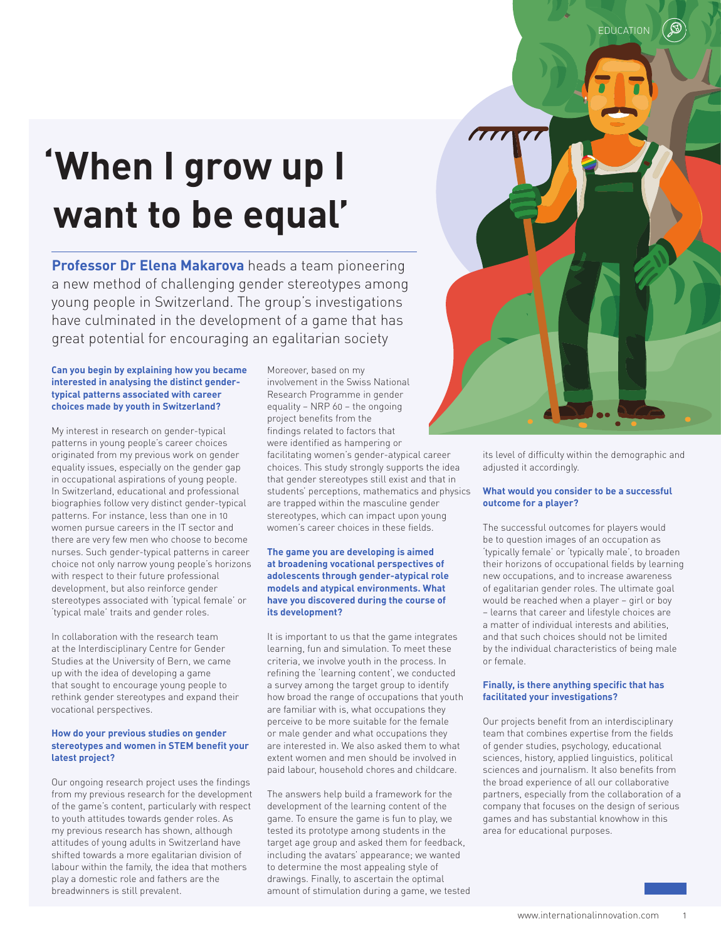# **'When I grow up I want to be equal'**

**Professor Dr Elena Makarova** heads a team pioneering a new method of challenging gender stereotypes among young people in Switzerland. The group's investigations have culminated in the development of a game that has great potential for encouraging an egalitarian society

#### **Can you begin by explaining how you became interested in analysing the distinct gendertypical patterns associated with career choices made by youth in Switzerland?**

My interest in research on gender-typical patterns in young people's career choices originated from my previous work on gender equality issues, especially on the gender gap in occupational aspirations of young people. In Switzerland, educational and professional biographies follow very distinct gender-typical patterns. For instance, less than one in 10 women pursue careers in the IT sector and there are very few men who choose to become nurses. Such gender-typical patterns in career choice not only narrow young people's horizons with respect to their future professional development, but also reinforce gender stereotypes associated with 'typical female' or 'typical male' traits and gender roles.

In collaboration with the research team at the Interdisciplinary Centre for Gender Studies at the University of Bern, we came up with the idea of developing a game that sought to encourage young people to rethink gender stereotypes and expand their vocational perspectives.

#### **How do your previous studies on gender stereotypes and women in STEM benefit your latest project?**

Our ongoing research project uses the findings from my previous research for the development of the game's content, particularly with respect to youth attitudes towards gender roles. As my previous research has shown, although attitudes of young adults in Switzerland have shifted towards a more egalitarian division of labour within the family, the idea that mothers play a domestic role and fathers are the breadwinners is still prevalent.

Moreover, based on my involvement in the Swiss National Research Programme in gender equality – NRP 60 – the ongoing project benefits from the findings related to factors that were identified as hampering or facilitating women's gender-atypical career choices. This study strongly supports the idea that gender stereotypes still exist and that in students' perceptions, mathematics and physics are trapped within the masculine gender stereotypes, which can impact upon young women's career choices in these fields.

#### **The game you are developing is aimed at broadening vocational perspectives of adolescents through gender-atypical role models and atypical environments. What have you discovered during the course of its development?**

It is important to us that the game integrates learning, fun and simulation. To meet these criteria, we involve youth in the process. In refining the 'learning content', we conducted a survey among the target group to identify how broad the range of occupations that youth are familiar with is, what occupations they perceive to be more suitable for the female or male gender and what occupations they are interested in. We also asked them to what extent women and men should be involved in paid labour, household chores and childcare.

The answers help build a framework for the development of the learning content of the game. To ensure the game is fun to play, we tested its prototype among students in the target age group and asked them for feedback, including the avatars' appearance; we wanted to determine the most appealing style of drawings. Finally, to ascertain the optimal amount of stimulation during a game, we tested its level of difficulty within the demographic and adjusted it accordingly.

#### **What would you consider to be a successful outcome for a player?**

The successful outcomes for players would be to question images of an occupation as 'typically female' or 'typically male', to broaden their horizons of occupational fields by learning new occupations, and to increase awareness of egalitarian gender roles. The ultimate goal would be reached when a player – girl or boy – learns that career and lifestyle choices are a matter of individual interests and abilities, and that such choices should not be limited by the individual characteristics of being male or female.

#### **Finally, is there anything specific that has facilitated your investigations?**

Our projects benefit from an interdisciplinary team that combines expertise from the fields of gender studies, psychology, educational sciences, history, applied linguistics, political sciences and journalism. It also benefits from the broad experience of all our collaborative partners, especially from the collaboration of a company that focuses on the design of serious games and has substantial knowhow in this area for educational purposes.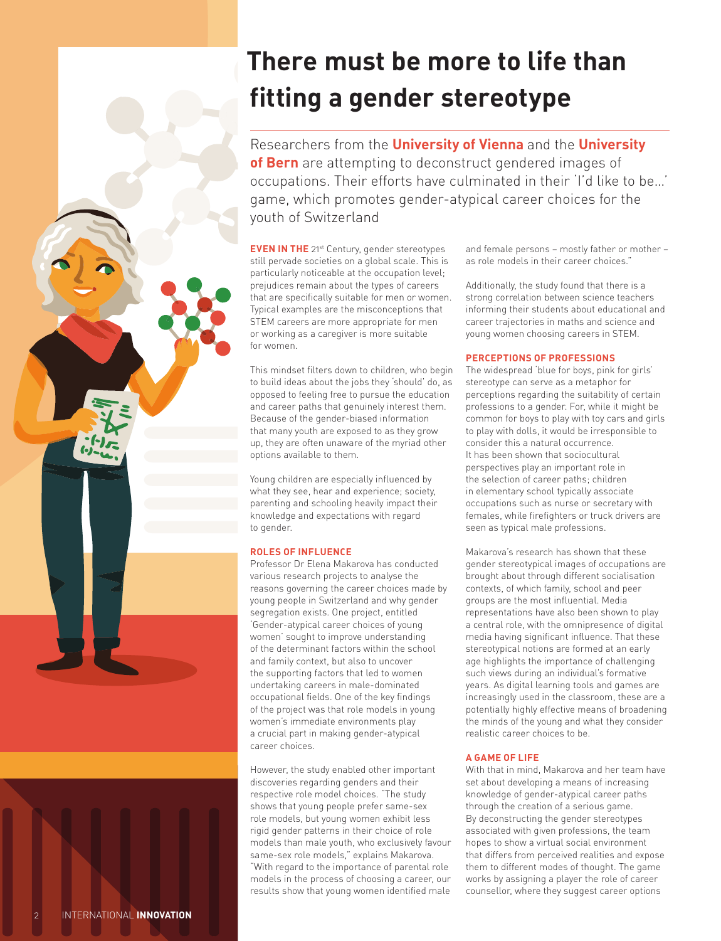## **There must be more to life than fitting a gender stereotype**

Researchers from the **University of Vienna** and the **University of Bern** are attempting to deconstruct gendered images of occupations. Their efforts have culminated in their 'I'd like to be…' game, which promotes gender-atypical career choices for the youth of Switzerland

**EVEN IN THE** 21<sup>st</sup> Century, gender stereotypes still pervade societies on a global scale. This is particularly noticeable at the occupation level; prejudices remain about the types of careers that are specifically suitable for men or women. Typical examples are the misconceptions that STEM careers are more appropriate for men or working as a caregiver is more suitable for women.

This mindset filters down to children, who begin to build ideas about the jobs they 'should' do, as opposed to feeling free to pursue the education and career paths that genuinely interest them. Because of the gender-biased information that many youth are exposed to as they grow up, they are often unaware of the myriad other options available to them.

Young children are especially influenced by what they see, hear and experience; society, parenting and schooling heavily impact their knowledge and expectations with regard to gender.

#### **ROLES OF INFLUENCE**

Professor Dr Elena Makarova has conducted various research projects to analyse the reasons governing the career choices made by young people in Switzerland and why gender segregation exists. One project, entitled 'Gender-atypical career choices of young women' sought to improve understanding of the determinant factors within the school and family context, but also to uncover the supporting factors that led to women undertaking careers in male-dominated occupational fields. One of the key findings of the project was that role models in young women's immediate environments play a crucial part in making gender-atypical career choices.

However, the study enabled other important discoveries regarding genders and their respective role model choices. "The study shows that young people prefer same-sex role models, but young women exhibit less rigid gender patterns in their choice of role models than male youth, who exclusively favour same-sex role models," explains Makarova. "With regard to the importance of parental role models in the process of choosing a career, our results show that young women identified male and female persons – mostly father or mother – as role models in their career choices."

Additionally, the study found that there is a strong correlation between science teachers informing their students about educational and career trajectories in maths and science and young women choosing careers in STEM.

#### **PERCEPTIONS OF PROFESSIONS**

The widespread 'blue for boys, pink for girls' stereotype can serve as a metaphor for perceptions regarding the suitability of certain professions to a gender. For, while it might be common for boys to play with toy cars and girls to play with dolls, it would be irresponsible to consider this a natural occurrence. It has been shown that sociocultural perspectives play an important role in the selection of career paths; children in elementary school typically associate occupations such as nurse or secretary with females, while firefighters or truck drivers are seen as typical male professions.

Makarova's research has shown that these gender stereotypical images of occupations are brought about through different socialisation contexts, of which family, school and peer groups are the most influential. Media representations have also been shown to play a central role, with the omnipresence of digital media having significant influence. That these stereotypical notions are formed at an early age highlights the importance of challenging such views during an individual's formative years. As digital learning tools and games are increasingly used in the classroom, these are a potentially highly effective means of broadening the minds of the young and what they consider realistic career choices to be.

#### **A GAME OF LIFE**

With that in mind, Makarova and her team have set about developing a means of increasing knowledge of gender-atypical career paths through the creation of a serious game. By deconstructing the gender stereotypes associated with given professions, the team hopes to show a virtual social environment that differs from perceived realities and expose them to different modes of thought. The game works by assigning a player the role of career counsellor, where they suggest career options